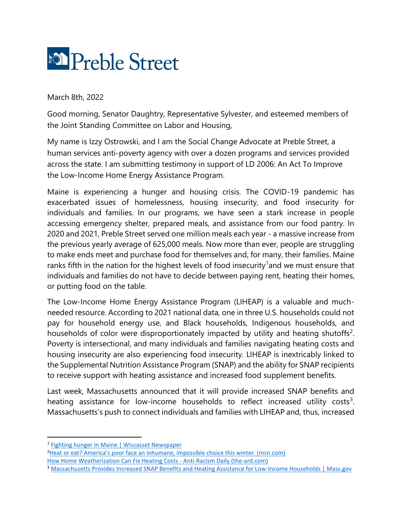

March 8th, 2022

Good morning, Senator Daughtry, Representative Sylvester, and esteemed members of the Joint Standing Committee on Labor and Housing,

My name is Izzy Ostrowski, and I am the Social Change Advocate at Preble Street, a human services anti-poverty agency with over a dozen programs and services provided across the state. I am submitting testimony in support of LD 2006: An Act To Improve the Low-Income Home Energy Assistance Program.

Maine is experiencing a hunger and housing crisis. The COVID-19 pandemic has exacerbated issues of homelessness, housing insecurity, and food insecurity for individuals and families. In our programs, we have seen a stark increase in people accessing emergency shelter, prepared meals, and assistance from our food pantry. In 2020 and 2021, Preble Street served one million meals each year - a massive increase from the previous yearly average of 625,000 meals. Now more than ever, people are struggling to make ends meet and purchase food for themselves and, for many, their families. Maine ranks fifth in the nation for the highest levels of food insecurity<sup>1</sup> and we must ensure that individuals and families do not have to decide between paying rent, heating their homes, or putting food on the table.

The Low-Income Home Energy Assistance Program (LIHEAP) is a valuable and muchneeded resource. According to 2021 national data, one in three U.S. households could not pay for household energy use, and Black households, Indigenous households, and households of color were disproportionately impacted by utility and heating shutoffs<sup>2</sup>. Poverty is intersectional, and many individuals and families navigating heating costs and housing insecurity are also experiencing food insecurity. LIHEAP is inextricably linked to the Supplemental Nutrition Assistance Program (SNAP) and the ability for SNAP recipients to receive support with heating assistance and increased food supplement benefits.

Last week, Massachusetts announced that it will provide increased SNAP benefits and heating assistance for low-income households to reflect increased utility costs<sup>3</sup>. Massachusetts's push to connect individuals and families with LIHEAP and, thus, increased

<sup>&</sup>lt;sup>1</sup> [Fighting hunger in Maine | Wiscasset Newspaper](https://www.wiscassetnewspaper.com/article/fighting-hunger-maine/153771)

<sup>2</sup>[Heat or eat? America's poor face an inhumane, impossible choice this winter. \(msn.com\)](https://www.msn.com/en-us/news/opinion/heat-or-eat-america-e2-80-99s-poor-face-an-inhumane-impossible-choice-this-winter/ar-AAQ0qqu) [How Home Weatherization Can Fix Heating Costs -](https://the-ard.com/2021/11/18/home-weatherization-support-to-low-income-families-to-help-counter-heat-costs/) Anti-Racism Daily (the-ard.com)

<sup>3</sup> [Massachusetts Provides Increased SNAP Benefits and Heating Assistance for Low-Income Households | Mass.gov](https://www.mass.gov/news/massachusetts-provides-increased-snap-benefits-and-heating-assistance-for-low-income-households)